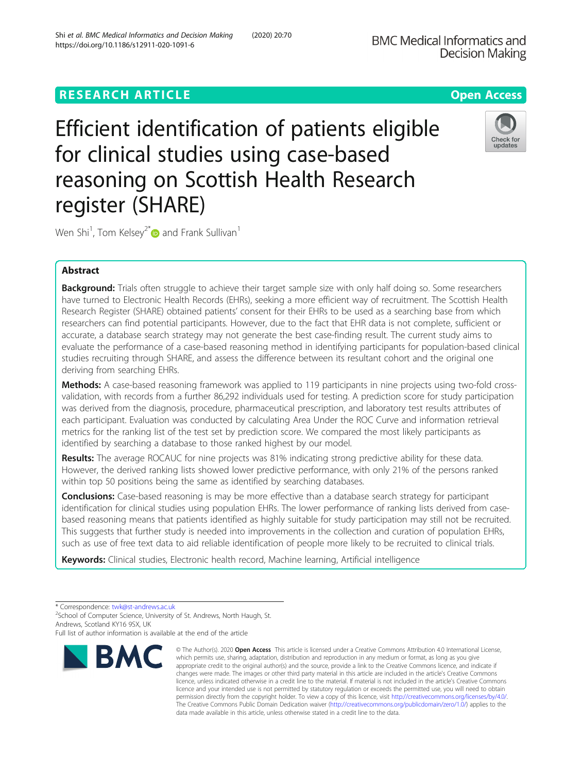Efficient identification of patients eligible for clinical studies using case-based reasoning on Scottish Health Research register (SHARE)



Wen Shi<sup>1</sup>, Tom Kelsey<sup>2[\\*](http://orcid.org/0000-0002-8091-1458)</sup> and Frank Sullivan<sup>1</sup>

# Abstract

Background: Trials often struggle to achieve their target sample size with only half doing so. Some researchers have turned to Electronic Health Records (EHRs), seeking a more efficient way of recruitment. The Scottish Health Research Register (SHARE) obtained patients' consent for their EHRs to be used as a searching base from which researchers can find potential participants. However, due to the fact that EHR data is not complete, sufficient or accurate, a database search strategy may not generate the best case-finding result. The current study aims to evaluate the performance of a case-based reasoning method in identifying participants for population-based clinical studies recruiting through SHARE, and assess the difference between its resultant cohort and the original one deriving from searching EHRs.

Methods: A case-based reasoning framework was applied to 119 participants in nine projects using two-fold crossvalidation, with records from a further 86,292 individuals used for testing. A prediction score for study participation was derived from the diagnosis, procedure, pharmaceutical prescription, and laboratory test results attributes of each participant. Evaluation was conducted by calculating Area Under the ROC Curve and information retrieval metrics for the ranking list of the test set by prediction score. We compared the most likely participants as identified by searching a database to those ranked highest by our model.

Results: The average ROCAUC for nine projects was 81% indicating strong predictive ability for these data. However, the derived ranking lists showed lower predictive performance, with only 21% of the persons ranked within top 50 positions being the same as identified by searching databases.

**Conclusions:** Case-based reasoning is may be more effective than a database search strategy for participant identification for clinical studies using population EHRs. The lower performance of ranking lists derived from casebased reasoning means that patients identified as highly suitable for study participation may still not be recruited. This suggests that further study is needed into improvements in the collection and curation of population EHRs, such as use of free text data to aid reliable identification of people more likely to be recruited to clinical trials.

Keywords: Clinical studies, Electronic health record, Machine learning, Artificial intelligence

Full list of author information is available at the end of the article



<sup>©</sup> The Author(s), 2020 **Open Access** This article is licensed under a Creative Commons Attribution 4.0 International License, which permits use, sharing, adaptation, distribution and reproduction in any medium or format, as long as you give appropriate credit to the original author(s) and the source, provide a link to the Creative Commons licence, and indicate if changes were made. The images or other third party material in this article are included in the article's Creative Commons licence, unless indicated otherwise in a credit line to the material. If material is not included in the article's Creative Commons licence and your intended use is not permitted by statutory regulation or exceeds the permitted use, you will need to obtain permission directly from the copyright holder. To view a copy of this licence, visit [http://creativecommons.org/licenses/by/4.0/.](http://creativecommons.org/licenses/by/4.0/) The Creative Commons Public Domain Dedication waiver [\(http://creativecommons.org/publicdomain/zero/1.0/](http://creativecommons.org/publicdomain/zero/1.0/)) applies to the data made available in this article, unless otherwise stated in a credit line to the data.

<sup>\*</sup> Correspondence: [twk@st-andrews.ac.uk](mailto:twk@st-andrews.ac.uk) <sup>2</sup>

<sup>&</sup>lt;sup>2</sup>School of Computer Science, University of St. Andrews, North Haugh, St. Andrews, Scotland KY16 9SX, UK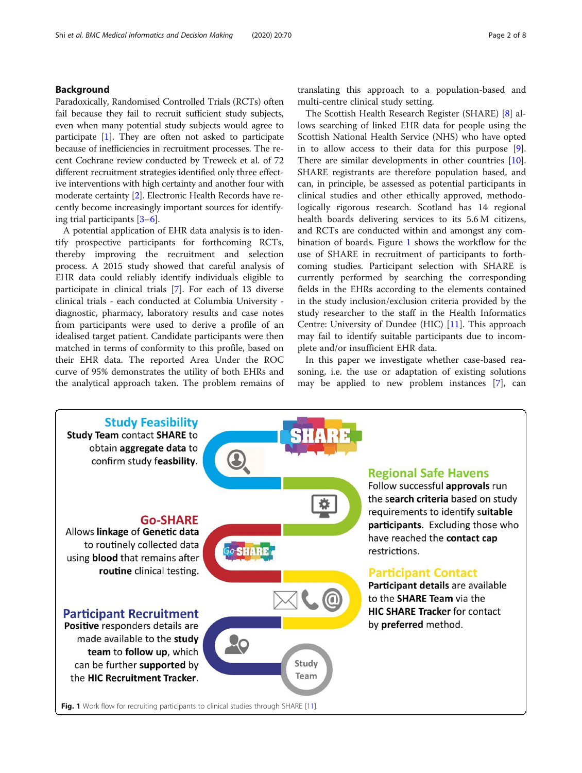## Background

Paradoxically, Randomised Controlled Trials (RCTs) often fail because they fail to recruit sufficient study subjects, even when many potential study subjects would agree to participate [[1\]](#page-6-0). They are often not asked to participate because of inefficiencies in recruitment processes. The recent Cochrane review conducted by Treweek et al. of 72 different recruitment strategies identified only three effective interventions with high certainty and another four with moderate certainty [[2\]](#page-6-0). Electronic Health Records have recently become increasingly important sources for identifying trial participants [[3](#page-6-0)–[6](#page-6-0)].

A potential application of EHR data analysis is to identify prospective participants for forthcoming RCTs, thereby improving the recruitment and selection process. A 2015 study showed that careful analysis of EHR data could reliably identify individuals eligible to participate in clinical trials [\[7](#page-6-0)]. For each of 13 diverse clinical trials - each conducted at Columbia University diagnostic, pharmacy, laboratory results and case notes from participants were used to derive a profile of an idealised target patient. Candidate participants were then matched in terms of conformity to this profile, based on their EHR data. The reported Area Under the ROC curve of 95% demonstrates the utility of both EHRs and the analytical approach taken. The problem remains of

translating this approach to a population-based and multi-centre clinical study setting.

The Scottish Health Research Register (SHARE) [[8\]](#page-6-0) allows searching of linked EHR data for people using the Scottish National Health Service (NHS) who have opted in to allow access to their data for this purpose [\[9](#page-6-0)]. There are similar developments in other countries [\[10](#page-6-0)]. SHARE registrants are therefore population based, and can, in principle, be assessed as potential participants in clinical studies and other ethically approved, methodologically rigorous research. Scotland has 14 regional health boards delivering services to its 5.6 M citizens, and RCTs are conducted within and amongst any combination of boards. Figure 1 shows the workflow for the use of SHARE in recruitment of participants to forthcoming studies. Participant selection with SHARE is currently performed by searching the corresponding fields in the EHRs according to the elements contained in the study inclusion/exclusion criteria provided by the study researcher to the staff in the Health Informatics Centre: University of Dundee (HIC) [[11](#page-6-0)]. This approach may fail to identify suitable participants due to incomplete and/or insufficient EHR data.

In this paper we investigate whether case-based reasoning, i.e. the use or adaptation of existing solutions may be applied to new problem instances [\[7](#page-6-0)], can

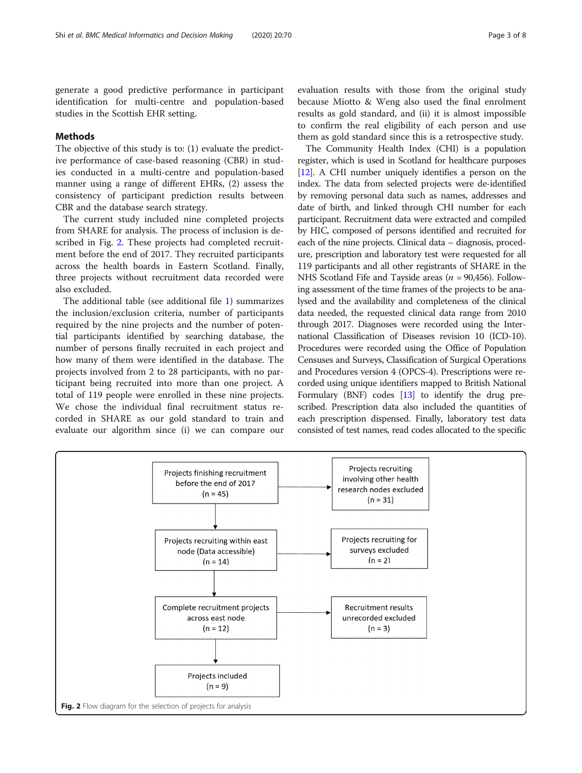generate a good predictive performance in participant identification for multi-centre and population-based studies in the Scottish EHR setting.

## Methods

The objective of this study is to: (1) evaluate the predictive performance of case-based reasoning (CBR) in studies conducted in a multi-centre and population-based manner using a range of different EHRs, (2) assess the consistency of participant prediction results between CBR and the database search strategy.

The current study included nine completed projects from SHARE for analysis. The process of inclusion is described in Fig. 2. These projects had completed recruitment before the end of 2017. They recruited participants across the health boards in Eastern Scotland. Finally, three projects without recruitment data recorded were also excluded.

The additional table (see additional file [1](#page-6-0)) summarizes the inclusion/exclusion criteria, number of participants required by the nine projects and the number of potential participants identified by searching database, the number of persons finally recruited in each project and how many of them were identified in the database. The projects involved from 2 to 28 participants, with no participant being recruited into more than one project. A total of 119 people were enrolled in these nine projects. We chose the individual final recruitment status recorded in SHARE as our gold standard to train and evaluate our algorithm since (i) we can compare our

evaluation results with those from the original study because Miotto & Weng also used the final enrolment results as gold standard, and (ii) it is almost impossible to confirm the real eligibility of each person and use them as gold standard since this is a retrospective study.

The Community Health Index (CHI) is a population register, which is used in Scotland for healthcare purposes [[12](#page-6-0)]. A CHI number uniquely identifies a person on the index. The data from selected projects were de-identified by removing personal data such as names, addresses and date of birth, and linked through CHI number for each participant. Recruitment data were extracted and compiled by HIC, composed of persons identified and recruited for each of the nine projects. Clinical data – diagnosis, procedure, prescription and laboratory test were requested for all 119 participants and all other registrants of SHARE in the NHS Scotland Fife and Tayside areas ( $n = 90,456$ ). Following assessment of the time frames of the projects to be analysed and the availability and completeness of the clinical data needed, the requested clinical data range from 2010 through 2017. Diagnoses were recorded using the International Classification of Diseases revision 10 (ICD-10). Procedures were recorded using the Office of Population Censuses and Surveys, Classification of Surgical Operations and Procedures version 4 (OPCS-4). Prescriptions were recorded using unique identifiers mapped to British National Formulary (BNF) codes  $[13]$  to identify the drug prescribed. Prescription data also included the quantities of each prescription dispensed. Finally, laboratory test data consisted of test names, read codes allocated to the specific

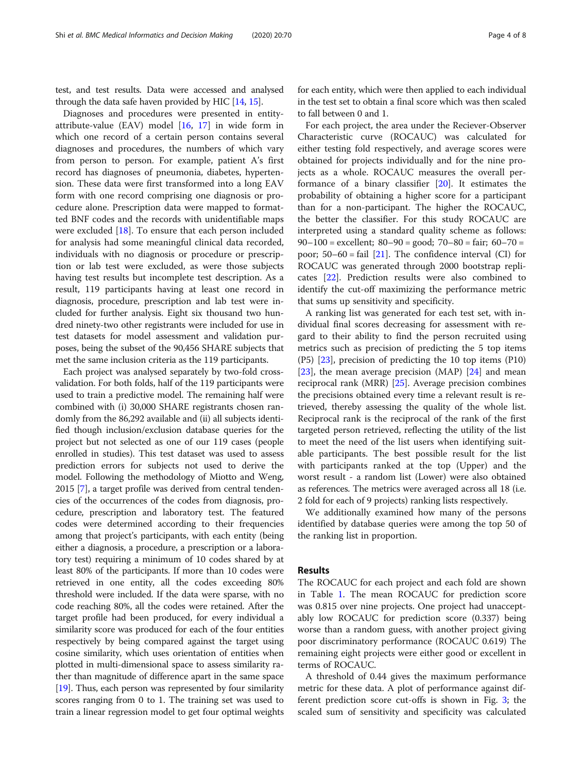test, and test results. Data were accessed and analysed through the data safe haven provided by HIC [[14](#page-6-0), [15](#page-6-0)].

Diagnoses and procedures were presented in entityattribute-value (EAV) model  $[16, 17]$  $[16, 17]$  $[16, 17]$  $[16, 17]$  $[16, 17]$  in wide form in which one record of a certain person contains several diagnoses and procedures, the numbers of which vary from person to person. For example, patient A's first record has diagnoses of pneumonia, diabetes, hypertension. These data were first transformed into a long EAV form with one record comprising one diagnosis or procedure alone. Prescription data were mapped to formatted BNF codes and the records with unidentifiable maps were excluded [\[18](#page-6-0)]. To ensure that each person included for analysis had some meaningful clinical data recorded, individuals with no diagnosis or procedure or prescription or lab test were excluded, as were those subjects having test results but incomplete test description. As a result, 119 participants having at least one record in diagnosis, procedure, prescription and lab test were included for further analysis. Eight six thousand two hundred ninety-two other registrants were included for use in test datasets for model assessment and validation purposes, being the subset of the 90,456 SHARE subjects that met the same inclusion criteria as the 119 participants.

Each project was analysed separately by two-fold crossvalidation. For both folds, half of the 119 participants were used to train a predictive model. The remaining half were combined with (i) 30,000 SHARE registrants chosen randomly from the 86,292 available and (ii) all subjects identified though inclusion/exclusion database queries for the project but not selected as one of our 119 cases (people enrolled in studies). This test dataset was used to assess prediction errors for subjects not used to derive the model. Following the methodology of Miotto and Weng, 2015 [\[7\]](#page-6-0), a target profile was derived from central tendencies of the occurrences of the codes from diagnosis, procedure, prescription and laboratory test. The featured codes were determined according to their frequencies among that project's participants, with each entity (being either a diagnosis, a procedure, a prescription or a laboratory test) requiring a minimum of 10 codes shared by at least 80% of the participants. If more than 10 codes were retrieved in one entity, all the codes exceeding 80% threshold were included. If the data were sparse, with no code reaching 80%, all the codes were retained. After the target profile had been produced, for every individual a similarity score was produced for each of the four entities respectively by being compared against the target using cosine similarity, which uses orientation of entities when plotted in multi-dimensional space to assess similarity rather than magnitude of difference apart in the same space [[19](#page-6-0)]. Thus, each person was represented by four similarity scores ranging from 0 to 1. The training set was used to train a linear regression model to get four optimal weights for each entity, which were then applied to each individual in the test set to obtain a final score which was then scaled to fall between 0 and 1.

For each project, the area under the Reciever-Observer Characteristic curve (ROCAUC) was calculated for either testing fold respectively, and average scores were obtained for projects individually and for the nine projects as a whole. ROCAUC measures the overall performance of a binary classifier [[20](#page-7-0)]. It estimates the probability of obtaining a higher score for a participant than for a non-participant. The higher the ROCAUC, the better the classifier. For this study ROCAUC are interpreted using a standard quality scheme as follows: 90–100 = excellent; 80–90 = good; 70–80 = fair; 60–70 = poor;  $50-60 = \text{fail}$  [[21](#page-7-0)]. The confidence interval (CI) for ROCAUC was generated through 2000 bootstrap replicates [\[22\]](#page-7-0). Prediction results were also combined to identify the cut-off maximizing the performance metric that sums up sensitivity and specificity.

A ranking list was generated for each test set, with individual final scores decreasing for assessment with regard to their ability to find the person recruited using metrics such as precision of predicting the 5 top items  $(P5)$   $[23]$  $[23]$ , precision of predicting the 10 top items  $(P10)$ [[23\]](#page-7-0), the mean average precision (MAP) [\[24](#page-7-0)] and mean reciprocal rank (MRR) [\[25](#page-7-0)]. Average precision combines the precisions obtained every time a relevant result is retrieved, thereby assessing the quality of the whole list. Reciprocal rank is the reciprocal of the rank of the first targeted person retrieved, reflecting the utility of the list to meet the need of the list users when identifying suitable participants. The best possible result for the list with participants ranked at the top (Upper) and the worst result - a random list (Lower) were also obtained as references. The metrics were averaged across all 18 (i.e. 2 fold for each of 9 projects) ranking lists respectively.

We additionally examined how many of the persons identified by database queries were among the top 50 of the ranking list in proportion.

## Results

The ROCAUC for each project and each fold are shown in Table [1.](#page-4-0) The mean ROCAUC for prediction score was 0.815 over nine projects. One project had unacceptably low ROCAUC for prediction score (0.337) being worse than a random guess, with another project giving poor discriminatory performance (ROCAUC 0.619) The remaining eight projects were either good or excellent in terms of ROCAUC.

A threshold of 0.44 gives the maximum performance metric for these data. A plot of performance against different prediction score cut-offs is shown in Fig. [3](#page-4-0); the scaled sum of sensitivity and specificity was calculated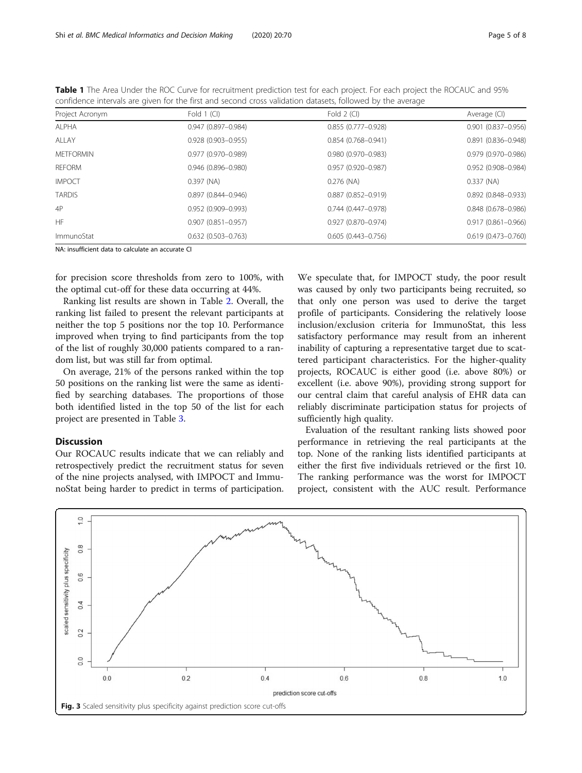| CONTRACTICE INTERVALS ARE GIVEN TON THE HIST ANIM SECOND CROSS VAINAGEON QUIDSCLS, TOHOVYCA DY THE AVENAGE |                           |                           |                           |  |  |  |
|------------------------------------------------------------------------------------------------------------|---------------------------|---------------------------|---------------------------|--|--|--|
| Project Acronym                                                                                            | Fold $1$ (CI)             | Fold $2$ (CI)             | Average (CI)              |  |  |  |
| ALPHA                                                                                                      | $0.947(0.897 - 0.984)$    | $0.855(0.777 - 0.928)$    | $0.901$ $(0.837 - 0.956)$ |  |  |  |
| ALLAY                                                                                                      | $0.928(0.903 - 0.955)$    | $0.854(0.768 - 0.941)$    | $0.891$ $(0.836 - 0.948)$ |  |  |  |
| <b>METFORMIN</b>                                                                                           | $0.977(0.970 - 0.989)$    | $0.980(0.970 - 0.983)$    | 0.979 (0.970-0.986)       |  |  |  |
| <b>REFORM</b>                                                                                              | $0.946(0.896 - 0.980)$    | $0.957(0.920 - 0.987)$    | 0.952 (0.908-0.984)       |  |  |  |
| <b>IMPOCT</b>                                                                                              | $0.397$ (NA)              | $0.276$ (NA)              | $0.337$ (NA)              |  |  |  |
| <b>TARDIS</b>                                                                                              | $0.897$ $(0.844 - 0.946)$ | $0.887$ $(0.852 - 0.919)$ | $0.892$ (0.848-0.933)     |  |  |  |
| 4P                                                                                                         | $0.952(0.909 - 0.993)$    | $0.744(0.447 - 0.978)$    | $0.848$ $(0.678 - 0.986)$ |  |  |  |
| HF                                                                                                         | $0.907$ $(0.851 - 0.957)$ | $0.927(0.870 - 0.974)$    | $0.917(0.861 - 0.966)$    |  |  |  |
| ImmunoStat                                                                                                 | $0.632$ (0.503-0.763)     | $0.605(0.443 - 0.756)$    | $0.619(0.473 - 0.760)$    |  |  |  |

<span id="page-4-0"></span>Table 1 The Area Under the ROC Curve for recruitment prediction test for each project. For each project the ROCAUC and 95% confidence intervals are given for the first and second cross validation datasets, followed by the average

NA: insufficient data to calculate an accurate CI

for precision score thresholds from zero to 100%, with the optimal cut-off for these data occurring at 44%.

Ranking list results are shown in Table [2.](#page-5-0) Overall, the ranking list failed to present the relevant participants at neither the top 5 positions nor the top 10. Performance improved when trying to find participants from the top of the list of roughly 30,000 patients compared to a random list, but was still far from optimal.

On average, 21% of the persons ranked within the top 50 positions on the ranking list were the same as identified by searching databases. The proportions of those both identified listed in the top 50 of the list for each project are presented in Table [3.](#page-5-0)

## Discussion

Our ROCAUC results indicate that we can reliably and retrospectively predict the recruitment status for seven of the nine projects analysed, with IMPOCT and ImmunoStat being harder to predict in terms of participation.

We speculate that, for IMPOCT study, the poor result was caused by only two participants being recruited, so that only one person was used to derive the target profile of participants. Considering the relatively loose inclusion/exclusion criteria for ImmunoStat, this less satisfactory performance may result from an inherent inability of capturing a representative target due to scattered participant characteristics. For the higher-quality projects, ROCAUC is either good (i.e. above 80%) or excellent (i.e. above 90%), providing strong support for our central claim that careful analysis of EHR data can reliably discriminate participation status for projects of sufficiently high quality.

Evaluation of the resultant ranking lists showed poor performance in retrieving the real participants at the top. None of the ranking lists identified participants at either the first five individuals retrieved or the first 10. The ranking performance was the worst for IMPOCT project, consistent with the AUC result. Performance

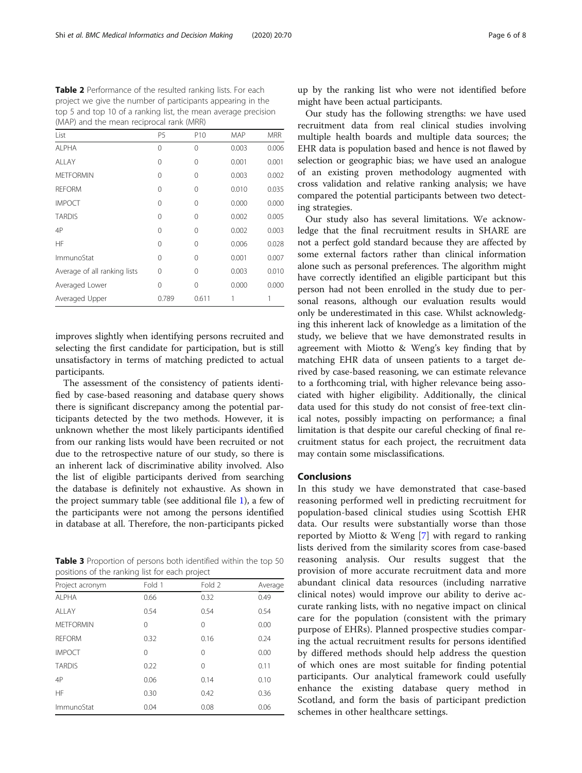<span id="page-5-0"></span>Table 2 Performance of the resulted ranking lists. For each project we give the number of participants appearing in the top 5 and top 10 of a ranking list, the mean average precision (MAP) and the mean reciprocal rank (MRR)

| List                         | P5    | P <sub>10</sub> | MAP   | <b>MRR</b> |
|------------------------------|-------|-----------------|-------|------------|
| <b>ALPHA</b>                 | 0     | 0               | 0.003 | 0.006      |
| ALLAY                        | 0     | 0               | 0.001 | 0.001      |
| <b>METFORMIN</b>             | 0     | 0               | 0.003 | 0.002      |
| <b>REFORM</b>                | 0     | 0               | 0.010 | 0.035      |
| <b>IMPOCT</b>                | 0     | 0               | 0.000 | 0.000      |
| <b>TARDIS</b>                | 0     | 0               | 0.002 | 0.005      |
| 4P                           | 0     | 0               | 0.002 | 0.003      |
| HF                           | Ω     | 0               | 0.006 | 0.028      |
| ImmunoStat                   | 0     | 0               | 0.001 | 0.007      |
| Average of all ranking lists | 0     | 0               | 0.003 | 0.010      |
| Averaged Lower               | 0     | 0               | 0.000 | 0.000      |
| Averaged Upper               | 0.789 | 0.611           |       |            |

improves slightly when identifying persons recruited and selecting the first candidate for participation, but is still unsatisfactory in terms of matching predicted to actual participants.

The assessment of the consistency of patients identified by case-based reasoning and database query shows there is significant discrepancy among the potential participants detected by the two methods. However, it is unknown whether the most likely participants identified from our ranking lists would have been recruited or not due to the retrospective nature of our study, so there is an inherent lack of discriminative ability involved. Also the list of eligible participants derived from searching the database is definitely not exhaustive. As shown in the project summary table (see additional file [1\)](#page-6-0), a few of the participants were not among the persons identified in database at all. Therefore, the non-participants picked

Table 3 Proportion of persons both identified within the top 50 positions of the ranking list for each project

| Project acronym  | Fold 1   | Fold 2   | Average |  |
|------------------|----------|----------|---------|--|
| <b>ALPHA</b>     | 0.66     | 0.32     | 0.49    |  |
| ALLAY            | 0.54     | 0.54     | 0.54    |  |
| <b>METFORMIN</b> | $\Omega$ | $\Omega$ | 0.00    |  |
| <b>REFORM</b>    | 0.32     | 0.16     | 0.24    |  |
| <b>IMPOCT</b>    | $\Omega$ | $\Omega$ | 0.00    |  |
| <b>TARDIS</b>    | 0.22     | 0        | 0.11    |  |
| 4P               | 0.06     | 0.14     | 0.10    |  |
| <b>HF</b>        | 0.30     | 0.42     | 0.36    |  |
| ImmunoStat       | 0.04     | 0.08     | 0.06    |  |
|                  |          |          |         |  |

up by the ranking list who were not identified before might have been actual participants.

Our study has the following strengths: we have used recruitment data from real clinical studies involving multiple health boards and multiple data sources; the EHR data is population based and hence is not flawed by selection or geographic bias; we have used an analogue of an existing proven methodology augmented with cross validation and relative ranking analysis; we have compared the potential participants between two detecting strategies.

Our study also has several limitations. We acknowledge that the final recruitment results in SHARE are not a perfect gold standard because they are affected by some external factors rather than clinical information alone such as personal preferences. The algorithm might have correctly identified an eligible participant but this person had not been enrolled in the study due to personal reasons, although our evaluation results would only be underestimated in this case. Whilst acknowledging this inherent lack of knowledge as a limitation of the study, we believe that we have demonstrated results in agreement with Miotto & Weng's key finding that by matching EHR data of unseen patients to a target derived by case-based reasoning, we can estimate relevance to a forthcoming trial, with higher relevance being associated with higher eligibility. Additionally, the clinical data used for this study do not consist of free-text clinical notes, possibly impacting on performance; a final limitation is that despite our careful checking of final recruitment status for each project, the recruitment data may contain some misclassifications.

## Conclusions

In this study we have demonstrated that case-based reasoning performed well in predicting recruitment for population-based clinical studies using Scottish EHR data. Our results were substantially worse than those reported by Miotto & Weng [\[7](#page-6-0)] with regard to ranking lists derived from the similarity scores from case-based reasoning analysis. Our results suggest that the provision of more accurate recruitment data and more abundant clinical data resources (including narrative clinical notes) would improve our ability to derive accurate ranking lists, with no negative impact on clinical care for the population (consistent with the primary purpose of EHRs). Planned prospective studies comparing the actual recruitment results for persons identified by differed methods should help address the question of which ones are most suitable for finding potential participants. Our analytical framework could usefully enhance the existing database query method in Scotland, and form the basis of participant prediction schemes in other healthcare settings.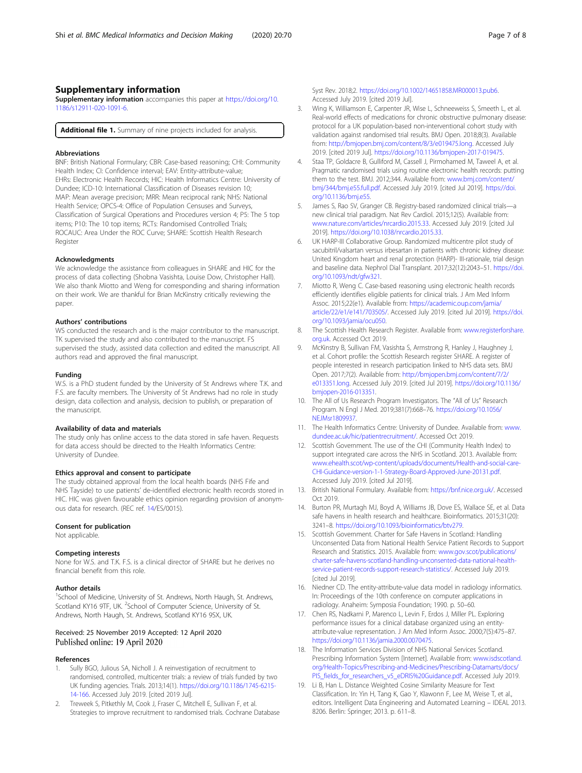## <span id="page-6-0"></span>Supplementary information

Supplementary information accompanies this paper at [https://doi.org/10.](https://doi.org/10.1186/s12911-020-1091-6) [1186/s12911-020-1091-6.](https://doi.org/10.1186/s12911-020-1091-6)

Additional file 1. Summary of nine projects included for analysis.

#### Abbreviations

BNF: British National Formulary; CBR: Case-based reasoning; CHI: Community Health Index; CI: Confidence interval; EAV: Entity-attribute-value; EHRs: Electronic Health Records; HIC: Health Informatics Centre: University of Dundee; ICD-10: International Classification of Diseases revision 10; MAP: Mean average precision; MRR: Mean reciprocal rank; NHS: National Health Service; OPCS-4: Office of Population Censuses and Surveys, Classification of Surgical Operations and Procedures version 4; P5: The 5 top items; P10: The 10 top items; RCTs: Randomised Controlled Trials; ROCAUC: Area Under the ROC Curve; SHARE: Scottish Health Research Register

## Acknowledgments

We acknowledge the assistance from colleagues in SHARE and HIC for the process of data collecting (Shobna Vasishta, Louise Dow, Christopher Hall). We also thank Miotto and Weng for corresponding and sharing information on their work. We are thankful for Brian McKinstry critically reviewing the paper.

## Authors' contributions

WS conducted the research and is the major contributor to the manuscript. TK supervised the study and also contributed to the manuscript. FS supervised the study, assisted data collection and edited the manuscript. All authors read and approved the final manuscript.

#### Funding

W.S. is a PhD student funded by the University of St Andrews where T.K. and F.S. are faculty members. The University of St Andrews had no role in study design, data collection and analysis, decision to publish, or preparation of the manuscript.

## Availability of data and materials

The study only has online access to the data stored in safe haven. Requests for data access should be directed to the Health Informatics Centre: University of Dundee.

#### Ethics approval and consent to participate

The study obtained approval from the local health boards (NHS Fife and NHS Tayside) to use patients' de-identified electronic health records stored in HIC. HIC was given favourable ethics opinion regarding provision of anonymous data for research. (REC ref. 14/ES/0015).

### Consent for publication

Not applicable.

## Competing interests

None for W.S. and T.K. F.S. is a clinical director of SHARE but he derives no financial benefit from this role.

#### Author details

<sup>1</sup>School of Medicine, University of St. Andrews, North Haugh, St. Andrews, Scotland KY16 9TF, UK. <sup>2</sup>School of Computer Science, University of St. Andrews, North Haugh, St. Andrews, Scotland KY16 9SX, UK.

## Received: 25 November 2019 Accepted: 12 April 2020 Published online: 19 April 2020

#### References

- Sully BGO, Julious SA, Nicholl J. A reinvestigation of recruitment to randomised, controlled, multicenter trials: a review of trials funded by two UK funding agencies. Trials. 2013;14(1). [https://doi.org/10.1186/1745-6215-](https://doi.org/10.1186/1745-6215-14-166) [14-166.](https://doi.org/10.1186/1745-6215-14-166) Accessed July 2019. [cited 2019 Jul].
- Treweek S, Pitkethly M, Cook J, Fraser C, Mitchell E, Sullivan F, et al. Strategies to improve recruitment to randomised trials. Cochrane Database

Syst Rev. 2018;2. <https://doi.org/10.1002/14651858.MR000013.pub6>. Accessed July 2019. [cited 2019 Jul].

- 3. Wing K, Williamson E, Carpenter JR, Wise L, Schneeweiss S, Smeeth L, et al. Real-world effects of medications for chronic obstructive pulmonary disease: protocol for a UK population-based non-interventional cohort study with validation against randomised trial results. BMJ Open. 2018;8(3). Available from: [http://bmjopen.bmj.com/content/8/3/e019475.long.](http://bmjopen.bmj.com/content/8/3/e019475.long) Accessed July 2019. [cited 2019 Jul]. [https://doi.org/10.1136/bmjopen-2017-019475.](https://doi.org/10.1136/bmjopen-2017-019475)
- 4. Staa TP, Goldacre B, Gulliford M, Cassell J, Pirmohamed M, Taweel A, et al. Pragmatic randomised trials using routine electronic health records: putting them to the test. BMJ. 2012;344. Available from: [www.bmj.com/content/](http://www.bmj.com/content/bmj/344/bmj.e55.full.pdf) [bmj/344/bmj.e55.full.pdf](http://www.bmj.com/content/bmj/344/bmj.e55.full.pdf). Accessed July 2019. [cited Jul 2019]. [https://doi.](https://doi.org/10.1136/bmj.e55) [org/10.1136/bmj.e55.](https://doi.org/10.1136/bmj.e55)
- 5. James S, Rao SV, Granger CB. Registry-based randomized clinical trials—a new clinical trial paradigm. Nat Rev Cardiol. 2015;12(5). Available from: [www.nature.com/articles/nrcardio.2015.33](http://www.nature.com/articles/nrcardio.2015.33). Accessed July 2019. [cited Jul 2019]. <https://doi.org/10.1038/nrcardio.2015.33>.
- UK HARP-III Collaborative Group. Randomized multicentre pilot study of sacubitril/valsartan versus irbesartan in patients with chronic kidney disease: United Kingdom heart and renal protection (HARP)- III-rationale, trial design and baseline data. Nephrol Dial Transplant. 2017;32(12):2043–51. [https://doi.](https://doi.org/10.1093/ndt/gfw321) [org/10.1093/ndt/gfw321](https://doi.org/10.1093/ndt/gfw321).
- 7. Miotto R, Weng C. Case-based reasoning using electronic health records efficiently identifies eligible patients for clinical trials. J Am Med Inform Assoc. 2015;22(e1). Available from: [https://academic.oup.com/jamia/](https://academic.oup.com/jamia/article/22/e1/e141/703505/) [article/22/e1/e141/703505/.](https://academic.oup.com/jamia/article/22/e1/e141/703505/) Accessed July 2019. [cited Jul 2019]. [https://doi.](https://doi.org/10.1093/jamia/ocu050) [org/10.1093/jamia/ocu050](https://doi.org/10.1093/jamia/ocu050).
- 8. The Scottish Health Research Register. Available from: [www.registerforshare.](http://www.registerforshare.org.uk) [org.uk](http://www.registerforshare.org.uk). Accessed Oct 2019.
- 9. McKinstry B, Sullivan FM, Vasishta S, Armstrong R, Hanley J, Haughney J, et al. Cohort profile: the Scottish Research register SHARE. A register of people interested in research participation linked to NHS data sets. BMJ Open. 2017;7(2). Available from: [http://bmjopen.bmj.com/content/7/2/](http://bmjopen.bmj.com/content/7/2/e013351.long) [e013351.long.](http://bmjopen.bmj.com/content/7/2/e013351.long) Accessed July 2019. [cited Jul 2019]. [https://doi.org/10.1136/](https://doi.org/10.1136/bmjopen-2016-013351) [bmjopen-2016-013351.](https://doi.org/10.1136/bmjopen-2016-013351)
- 10. The All of Us Research Program Investigators. The "All of Us" Research Program. N Engl J Med. 2019;381(7):668–76. [https://doi.org/10.1056/](https://doi.org/10.1056/NEJMsr1809937) [NEJMsr1809937](https://doi.org/10.1056/NEJMsr1809937).
- 11. The Health Informatics Centre: University of Dundee. Available from: [www.](http://www.dundee.ac.uk/hic/patientrecruitment/) [dundee.ac.uk/hic/patientrecruitment/](http://www.dundee.ac.uk/hic/patientrecruitment/). Accessed Oct 2019.
- 12. Scottish Government. The use of the CHI (Community Health Index) to support integrated care across the NHS in Scotland. 2013. Available from: [www.ehealth.scot/wp-content/uploads/documents/Health-and-social-care-](http://www.ehealth.scot/wp-content/uploads/documents/Health-and-social-care-CHI-Guidance-version-1-1-Strategy-Board-Approved-June-20131.pdf)[CHI-Guidance-version-1-1-Strategy-Board-Approved-June-20131.pdf](http://www.ehealth.scot/wp-content/uploads/documents/Health-and-social-care-CHI-Guidance-version-1-1-Strategy-Board-Approved-June-20131.pdf). Accessed July 2019. [cited Jul 2019].
- 13. British National Formulary. Available from: <https://bnf.nice.org.uk/>. Accessed Oct 2019.
- 14. Burton PR, Murtagh MJ, Boyd A, Williams JB, Dove ES, Wallace SE, et al. Data safe havens in health research and healthcare. Bioinformatics. 2015;31(20): 3241–8. <https://doi.org/10.1093/bioinformatics/btv279>.
- 15. Scottish Government. Charter for Safe Havens in Scotland: Handling Unconsented Data from National Health Service Patient Records to Support Research and Statistics. 2015. Available from: [www.gov.scot/publications/](http://www.gov.scot/publications/charter-safe-havens-scotland-handling-unconsented-data-national-health-service-patient-records-support-research-statistics/) [charter-safe-havens-scotland-handling-unconsented-data-national-health](http://www.gov.scot/publications/charter-safe-havens-scotland-handling-unconsented-data-national-health-service-patient-records-support-research-statistics/)[service-patient-records-support-research-statistics/.](http://www.gov.scot/publications/charter-safe-havens-scotland-handling-unconsented-data-national-health-service-patient-records-support-research-statistics/) Accessed July 2019. [cited Jul 2019].
- 16. Niedner CD. The entity-attribute-value data model in radiology informatics. In: Proceedings of the 10th conference on computer applications in radiology. Anaheim: Symposia Foundation; 1990. p. 50–60.
- 17. Chen RS, Nadkarni P, Marenco L, Levin F, Erdos J, Miller PL. Exploring performance issues for a clinical database organized using an entityattribute-value representation. J Am Med Inform Assoc. 2000;7(5):475–87. [https://doi.org/10.1136/jamia.2000.0070475.](https://doi.org/10.1136/jamia.2000.0070475)
- 18. The Information Services Division of NHS National Services Scotland. Prescribing Information System [Internet]. Available from: [www.isdscotland.](http://www.isdscotland.org/Health-Topics/Prescribing-and-Medicines/Prescribing-Datamarts/docs/PIS_fields_for_researchers_v5_eDRIS%20Guidance.pdf) [org/Health-Topics/Prescribing-and-Medicines/Prescribing-Datamarts/docs/](http://www.isdscotland.org/Health-Topics/Prescribing-and-Medicines/Prescribing-Datamarts/docs/PIS_fields_for_researchers_v5_eDRIS%20Guidance.pdf) [PIS\\_fields\\_for\\_researchers\\_v5\\_eDRIS%20Guidance.pdf.](http://www.isdscotland.org/Health-Topics/Prescribing-and-Medicines/Prescribing-Datamarts/docs/PIS_fields_for_researchers_v5_eDRIS%20Guidance.pdf) Accessed July 2019.
- 19. Li B, Han L. Distance Weighted Cosine Similarity Measure for Text Classification. In: Yin H, Tang K, Gao Y, Klawonn F, Lee M, Weise T, et al., editors. Intelligent Data Engineering and Automated Learning – IDEAL 2013. 8206. Berlin: Springer; 2013. p. 611–8.